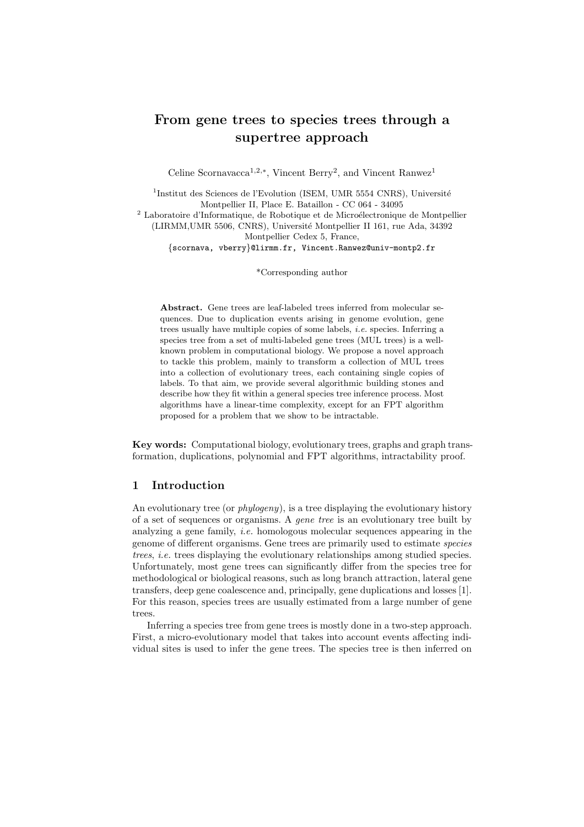# From gene trees to species trees through a supertree approach

Celine Scornavacca<sup>1,2,\*</sup>, Vincent Berry<sup>2</sup>, and Vincent Ranwez<sup>1</sup>

<sup>1</sup>Institut des Sciences de l'Evolution (ISEM, UMR 5554 CNRS), Université Montpellier II, Place E. Bataillon - CC 064 - 34095  $2$  Laboratoire d'Informatique, de Robotique et de Microélectronique de Montpellier

(LIRMM,UMR 5506, CNRS), Université Montpellier II 161, rue Ada, 34392 Montpellier Cedex 5, France,

{scornava, vberry}@lirmm.fr, Vincent.Ranwez@univ-montp2.fr

\*Corresponding author

Abstract. Gene trees are leaf-labeled trees inferred from molecular sequences. Due to duplication events arising in genome evolution, gene trees usually have multiple copies of some labels, i.e. species. Inferring a species tree from a set of multi-labeled gene trees (MUL trees) is a wellknown problem in computational biology. We propose a novel approach to tackle this problem, mainly to transform a collection of MUL trees into a collection of evolutionary trees, each containing single copies of labels. To that aim, we provide several algorithmic building stones and describe how they fit within a general species tree inference process. Most algorithms have a linear-time complexity, except for an FPT algorithm proposed for a problem that we show to be intractable.

Key words: Computational biology, evolutionary trees, graphs and graph transformation, duplications, polynomial and FPT algorithms, intractability proof.

### 1 Introduction

An evolutionary tree (or *phylogeny*), is a tree displaying the evolutionary history of a set of sequences or organisms. A gene tree is an evolutionary tree built by analyzing a gene family, *i.e.* homologous molecular sequences appearing in the genome of different organisms. Gene trees are primarily used to estimate species trees, i.e. trees displaying the evolutionary relationships among studied species. Unfortunately, most gene trees can significantly differ from the species tree for methodological or biological reasons, such as long branch attraction, lateral gene transfers, deep gene coalescence and, principally, gene duplications and losses [1]. For this reason, species trees are usually estimated from a large number of gene trees.

Inferring a species tree from gene trees is mostly done in a two-step approach. First, a micro-evolutionary model that takes into account events affecting individual sites is used to infer the gene trees. The species tree is then inferred on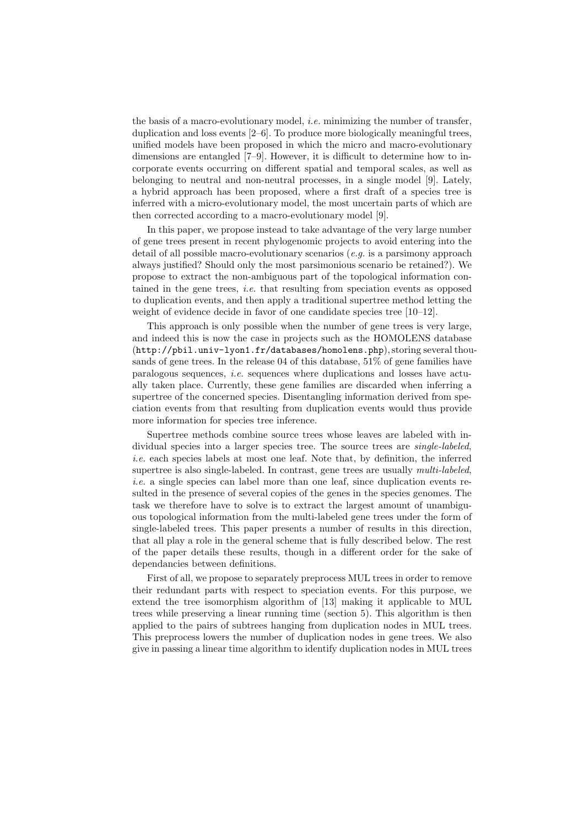the basis of a macro-evolutionary model, i.e. minimizing the number of transfer, duplication and loss events [2–6]. To produce more biologically meaningful trees, unified models have been proposed in which the micro and macro-evolutionary dimensions are entangled [7–9]. However, it is difficult to determine how to incorporate events occurring on different spatial and temporal scales, as well as belonging to neutral and non-neutral processes, in a single model [9]. Lately, a hybrid approach has been proposed, where a first draft of a species tree is inferred with a micro-evolutionary model, the most uncertain parts of which are then corrected according to a macro-evolutionary model [9].

In this paper, we propose instead to take advantage of the very large number of gene trees present in recent phylogenomic projects to avoid entering into the detail of all possible macro-evolutionary scenarios (e.g. is a parsimony approach always justified? Should only the most parsimonious scenario be retained?). We propose to extract the non-ambiguous part of the topological information contained in the gene trees, i.e. that resulting from speciation events as opposed to duplication events, and then apply a traditional supertree method letting the weight of evidence decide in favor of one candidate species tree [10–12].

This approach is only possible when the number of gene trees is very large, and indeed this is now the case in projects such as the HOMOLENS database (http://pbil.univ-lyon1.fr/databases/homolens.php), storing several thousands of gene trees. In the release 04 of this database, 51% of gene families have paralogous sequences, i.e. sequences where duplications and losses have actually taken place. Currently, these gene families are discarded when inferring a supertree of the concerned species. Disentangling information derived from speciation events from that resulting from duplication events would thus provide more information for species tree inference.

Supertree methods combine source trees whose leaves are labeled with individual species into a larger species tree. The source trees are *single-labeled*, i.e. each species labels at most one leaf. Note that, by definition, the inferred supertree is also single-labeled. In contrast, gene trees are usually multi-labeled, i.e. a single species can label more than one leaf, since duplication events resulted in the presence of several copies of the genes in the species genomes. The task we therefore have to solve is to extract the largest amount of unambiguous topological information from the multi-labeled gene trees under the form of single-labeled trees. This paper presents a number of results in this direction, that all play a role in the general scheme that is fully described below. The rest of the paper details these results, though in a different order for the sake of dependancies between definitions.

First of all, we propose to separately preprocess MUL trees in order to remove their redundant parts with respect to speciation events. For this purpose, we extend the tree isomorphism algorithm of [13] making it applicable to MUL trees while preserving a linear running time (section 5). This algorithm is then applied to the pairs of subtrees hanging from duplication nodes in MUL trees. This preprocess lowers the number of duplication nodes in gene trees. We also give in passing a linear time algorithm to identify duplication nodes in MUL trees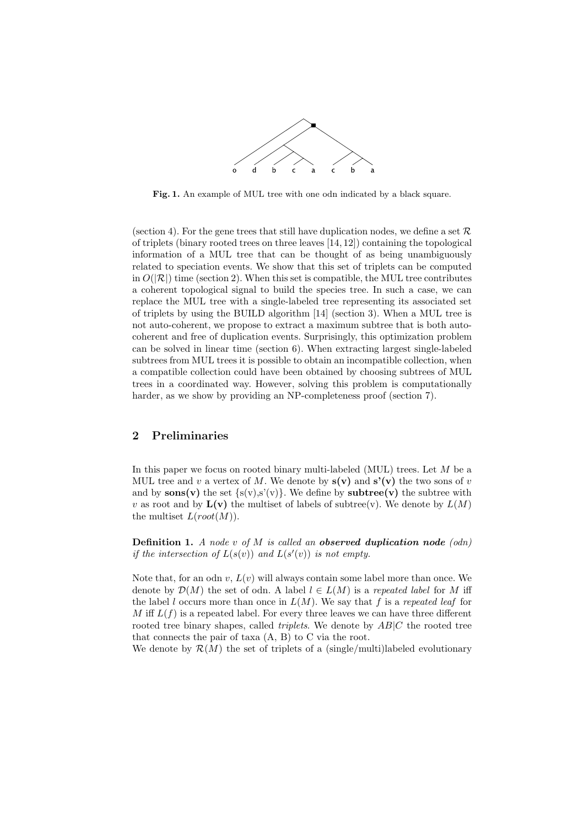

Fig. 1. An example of MUL tree with one odn indicated by a black square.

(section 4). For the gene trees that still have duplication nodes, we define a set  $\mathcal{R}$ of triplets (binary rooted trees on three leaves  $[14, 12]$ ) containing the topological information of a MUL tree that can be thought of as being unambiguously related to speciation events. We show that this set of triplets can be computed in  $O(|\mathcal{R}|)$  time (section 2). When this set is compatible, the MUL tree contributes a coherent topological signal to build the species tree. In such a case, we can replace the MUL tree with a single-labeled tree representing its associated set of triplets by using the BUILD algorithm [14] (section 3). When a MUL tree is not auto-coherent, we propose to extract a maximum subtree that is both autocoherent and free of duplication events. Surprisingly, this optimization problem can be solved in linear time (section 6). When extracting largest single-labeled subtrees from MUL trees it is possible to obtain an incompatible collection, when a compatible collection could have been obtained by choosing subtrees of MUL trees in a coordinated way. However, solving this problem is computationally harder, as we show by providing an NP-completeness proof (section 7).

## 2 Preliminaries

In this paper we focus on rooted binary multi-labeled (MUL) trees. Let  $M$  be a MUL tree and v a vertex of M. We denote by  $s(v)$  and  $s'(v)$  the two sons of v and by  $\textbf{sons}(v)$  the set  $\{s(v), s'(v)\}$ . We define by  $\textbf{subtree}(v)$  the subtree with v as root and by  $\mathbf{L}(\mathbf{v})$  the multiset of labels of subtree(v). We denote by  $L(M)$ the multiset  $L(root(M))$ .

**Definition 1.** A node v of M is called an observed duplication node  $(\text{od}n)$ if the intersection of  $L(s(v))$  and  $L(s'(v))$  is not empty.

Note that, for an odn v,  $L(v)$  will always contain some label more than once. We denote by  $\mathcal{D}(M)$  the set of odn. A label  $l \in L(M)$  is a repeated label for M iff the label l occurs more than once in  $L(M)$ . We say that f is a repeated leaf for M iff  $L(f)$  is a repeated label. For every three leaves we can have three different rooted tree binary shapes, called *triplets*. We denote by  $AB|C$  the rooted tree that connects the pair of taxa (A, B) to C via the root.

We denote by  $\mathcal{R}(M)$  the set of triplets of a (single/multi)labeled evolutionary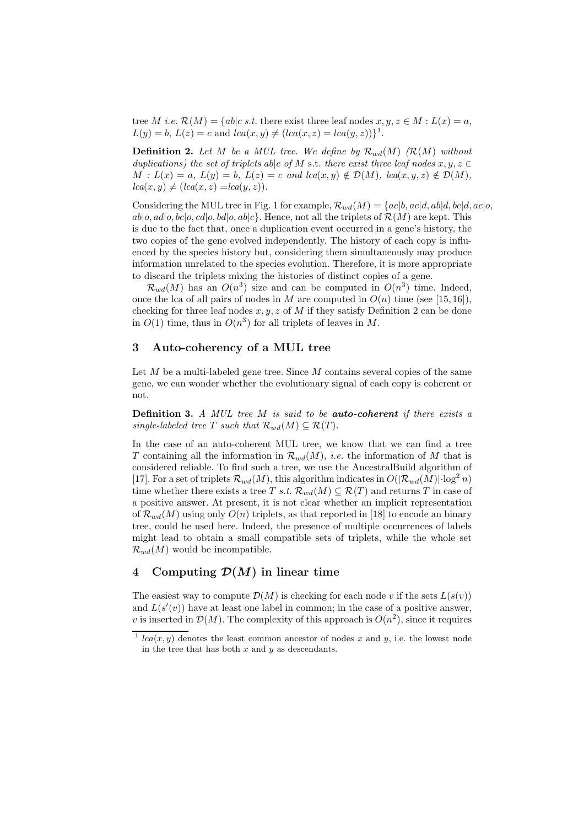tree M i.e.  $\mathcal{R}(M) = \{ab|c \text{ s.t. there exist three leaf nodes } x, y, z \in M : L(x) = a,$  $L(y) = b, L(z) = c$  and  $lca(x, y) \neq (lca(x, z) = lca(y, z))$ <sup>1</sup>.

**Definition 2.** Let M be a MUL tree. We define by  $\mathcal{R}_{wd}(M)$  ( $\mathcal{R}(M)$  without duplications) the set of triplets ab|c of M s.t. there exist three leaf nodes  $x, y, z \in$  $M: L(x) = a, L(y) = b, L(z) = c \text{ and } lca(x, y) \notin \mathcal{D}(M), \text{ } lca(x, y, z) \notin \mathcal{D}(M),$  $lca(x, y) \neq (lca(x, z) = lca(y, z)).$ 

Considering the MUL tree in Fig. 1 for example,  $\mathcal{R}_{wd}(M) = \{ac|b, ac|d, ab|d, bc|d, ac|o,$  $ab|o, ad|o, bc|o, cd|o, bd|o, ab|c$ . Hence, not all the triplets of  $\mathcal{R}(M)$  are kept. This is due to the fact that, once a duplication event occurred in a gene's history, the two copies of the gene evolved independently. The history of each copy is influenced by the species history but, considering them simultaneously may produce information unrelated to the species evolution. Therefore, it is more appropriate to discard the triplets mixing the histories of distinct copies of a gene.

 $\mathcal{R}_{wd}(M)$  has an  $O(n^3)$  size and can be computed in  $O(n^3)$  time. Indeed, once the lca of all pairs of nodes in M are computed in  $O(n)$  time (see [15,16]), checking for three leaf nodes  $x, y, z$  of M if they satisfy Definition 2 can be done in  $O(1)$  time, thus in  $O(n^3)$  for all triplets of leaves in M.

#### 3 Auto-coherency of a MUL tree

Let  $M$  be a multi-labeled gene tree. Since  $M$  contains several copies of the same gene, we can wonder whether the evolutionary signal of each copy is coherent or not.

**Definition 3.** A MUL tree  $M$  is said to be **auto-coherent** if there exists a single-labeled tree T such that  $\mathcal{R}_{wd}(M) \subseteq \mathcal{R}(T)$ .

In the case of an auto-coherent MUL tree, we know that we can find a tree T containing all the information in  $\mathcal{R}_{wd}(M)$ , *i.e.* the information of M that is considered reliable. To find such a tree, we use the AncestralBuild algorithm of [17]. For a set of triplets  $\mathcal{R}_{wd}(M)$ , this algorithm indicates in  $O(|\mathcal{R}_{wd}(M)|\cdot \log^2 n)$ time whether there exists a tree T s.t.  $\mathcal{R}_{wd}(M) \subseteq \mathcal{R}(T)$  and returns T in case of a positive answer. At present, it is not clear whether an implicit representation of  $\mathcal{R}_{wd}(M)$  using only  $O(n)$  triplets, as that reported in [18] to encode an binary tree, could be used here. Indeed, the presence of multiple occurrences of labels might lead to obtain a small compatible sets of triplets, while the whole set  $\mathcal{R}_{wd}(M)$  would be incompatible.

### 4 Computing  $\mathcal{D}(M)$  in linear time

The easiest way to compute  $\mathcal{D}(M)$  is checking for each node v if the sets  $L(s(v))$ and  $L(s'(v))$  have at least one label in common; in the case of a positive answer, v is inserted in  $\mathcal{D}(M)$ . The complexity of this approach is  $O(n^2)$ , since it requires

<sup>&</sup>lt;sup>1</sup>  $lca(x, y)$  denotes the least common ancestor of nodes x and y, i.e. the lowest node in the tree that has both  $x$  and  $y$  as descendants.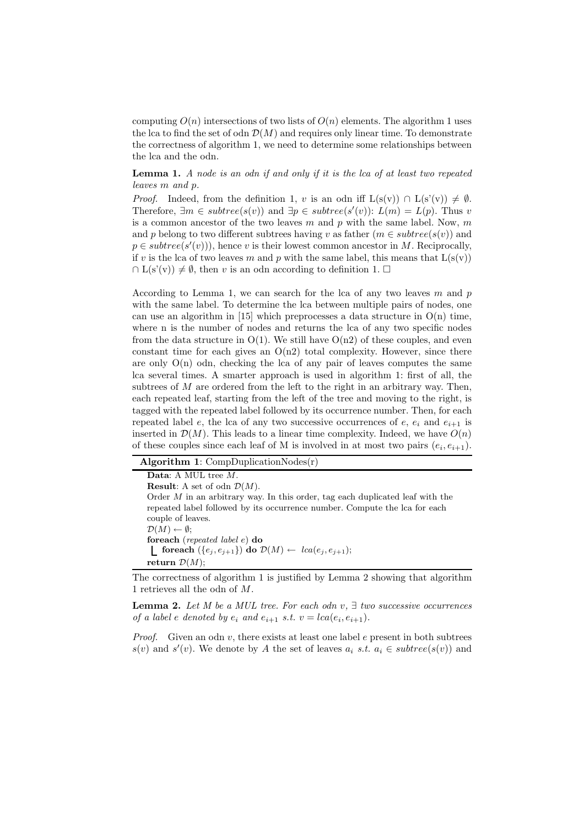computing  $O(n)$  intersections of two lists of  $O(n)$  elements. The algorithm 1 uses the lca to find the set of odn  $\mathcal{D}(M)$  and requires only linear time. To demonstrate the correctness of algorithm 1, we need to determine some relationships between the lca and the odn.

Lemma 1. A node is an odn if and only if it is the lca of at least two repeated leaves m and p.

*Proof.* Indeed, from the definition 1, v is an odn iff  $L(s(v)) \cap L(s'(v)) \neq \emptyset$ . Therefore,  $\exists m \in subtree(s(v))$  and  $\exists p \in subtree(s'(v))$ :  $L(m) = L(p)$ . Thus v is a common ancestor of the two leaves m and p with the same label. Now, m and p belong to two different subtrees having v as father  $(m \in subtree(s(v))$  and  $p \in subtree(s'(v))$ , hence v is their lowest common ancestor in M. Reciprocally, if v is the lca of two leaves m and p with the same label, this means that  $L(s(v))$  $\cap$  L(s'(v))  $\neq \emptyset$ , then v is an odn according to definition 1.  $\Box$ 

According to Lemma 1, we can search for the lca of any two leaves  $m$  and  $p$ with the same label. To determine the lca between multiple pairs of nodes, one can use an algorithm in  $[15]$  which preprocesses a data structure in  $O(n)$  time, where n is the number of nodes and returns the lca of any two specific nodes from the data structure in  $O(1)$ . We still have  $O(n2)$  of these couples, and even constant time for each gives an  $O(n2)$  total complexity. However, since there are only  $O(n)$  odn, checking the lca of any pair of leaves computes the same lca several times. A smarter approach is used in algorithm 1: first of all, the subtrees of  $M$  are ordered from the left to the right in an arbitrary way. Then, each repeated leaf, starting from the left of the tree and moving to the right, is tagged with the repeated label followed by its occurrence number. Then, for each repeated label e, the lca of any two successive occurrences of  $e, e_i$  and  $e_{i+1}$  is inserted in  $\mathcal{D}(M)$ . This leads to a linear time complexity. Indeed, we have  $O(n)$ of these couples since each leaf of M is involved in at most two pairs  $(e_i, e_{i+1})$ .

Algorithm 1: CompDuplicationNodes(r)

Data: A MUL tree  $M$ . **Result:** A set of odn  $\mathcal{D}(M)$ . Order  $M$  in an arbitrary way. In this order, tag each duplicated leaf with the repeated label followed by its occurrence number. Compute the lca for each couple of leaves.  $\mathcal{D}(M) \leftarrow \emptyset;$ foreach (repeated label e) do **foreach**  $(\{e_j, e_{j+1}\})$  do  $\mathcal{D}(M) \leftarrow \text{lca}(e_j, e_{j+1});$ return  $\mathcal{D}(M)$ ;

The correctness of algorithm 1 is justified by Lemma 2 showing that algorithm 1 retrieves all the odn of M.

**Lemma 2.** Let M be a MUL tree. For each odn  $v$ ,  $\exists$  two successive occurrences of a label e denoted by  $e_i$  and  $e_{i+1}$  s.t.  $v = lca(e_i, e_{i+1}).$ 

*Proof.* Given an odn  $v$ , there exists at least one label  $e$  present in both subtrees  $s(v)$  and  $s'(v)$ . We denote by A the set of leaves  $a_i$  s.t.  $a_i \in subtree(s(v))$  and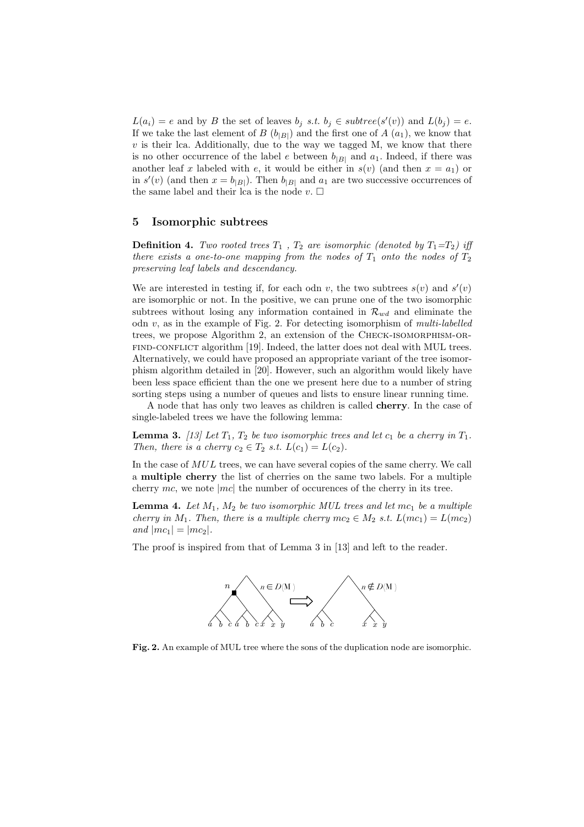$L(a_i) = e$  and by B the set of leaves  $b_j$  s.t.  $b_j \in subtree(s'(v))$  and  $L(b_j) = e$ . If we take the last element of B  $(b_{|B|})$  and the first one of A  $(a_1)$ , we know that  $v$  is their lca. Additionally, due to the way we tagged M, we know that there is no other occurrence of the label e between  $b_{|B|}$  and  $a_1$ . Indeed, if there was another leaf x labeled with e, it would be either in  $s(v)$  (and then  $x = a_1$ ) or in  $s'(v)$  (and then  $x = b_{|B|}$ ). Then  $b_{|B|}$  and  $a_1$  are two successive occurrences of the same label and their lca is the node  $v \square$ 

#### 5 Isomorphic subtrees

**Definition 4.** Two rooted trees  $T_1$ ,  $T_2$  are isomorphic (denoted by  $T_1 = T_2$ ) iff there exists a one-to-one mapping from the nodes of  $T_1$  onto the nodes of  $T_2$ preserving leaf labels and descendancy.

We are interested in testing if, for each odn v, the two subtrees  $s(v)$  and  $s'(v)$ are isomorphic or not. In the positive, we can prune one of the two isomorphic subtrees without losing any information contained in  $\mathcal{R}_{wd}$  and eliminate the odn  $v$ , as in the example of Fig. 2. For detecting isomorphism of *multi-labelled* trees, we propose Algorithm 2, an extension of the CHECK-ISOMORPHISM-ORfind-conflict algorithm [19]. Indeed, the latter does not deal with MUL trees. Alternatively, we could have proposed an appropriate variant of the tree isomorphism algorithm detailed in [20]. However, such an algorithm would likely have been less space efficient than the one we present here due to a number of string sorting steps using a number of queues and lists to ensure linear running time.

A node that has only two leaves as children is called cherry. In the case of single-labeled trees we have the following lemma:

**Lemma 3.** [13] Let  $T_1$ ,  $T_2$  be two isomorphic trees and let  $c_1$  be a cherry in  $T_1$ . Then, there is a cherry  $c_2 \in T_2$  s.t.  $L(c_1) = L(c_2)$ .

In the case of  $MUL$  trees, we can have several copies of the same cherry. We call a multiple cherry the list of cherries on the same two labels. For a multiple cherry  $mc$ , we note  $|mc|$  the number of occurences of the cherry in its tree.

**Lemma 4.** Let  $M_1$ ,  $M_2$  be two isomorphic MUL trees and let  $mc_1$  be a multiple cherry in  $M_1$ . Then, there is a multiple cherry  $mc_2 \in M_2$  s.t.  $L(mc_1) = L(mc_2)$ and  $|mc_1| = |mc_2|$ .

The proof is inspired from that of Lemma 3 in [13] and left to the reader.



Fig. 2. An example of MUL tree where the sons of the duplication node are isomorphic.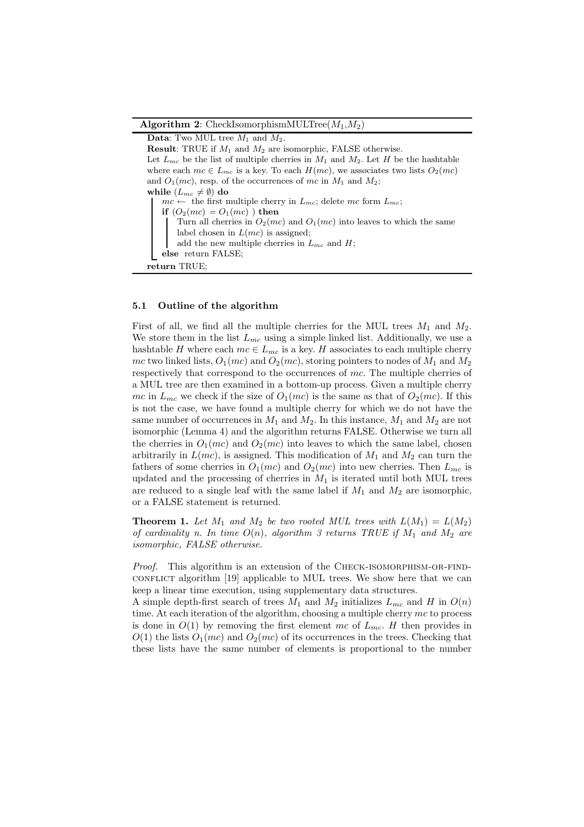Algorithm 2: CheckIsomorphismMULTree $(M_1, M_2)$ 

**Data:** Two MUL tree  $M_1$  and  $M_2$ . **Result:** TRUE if  $M_1$  and  $M_2$  are isomorphic, FALSE otherwise. Let  $L_{mc}$  be the list of multiple cherries in  $M_1$  and  $M_2$ . Let H be the hashtable where each  $mc \in L_{mc}$  is a key. To each  $H(mc)$ , we associates two lists  $O_2(mc)$ and  $O_1(mc)$ , resp. of the occurrences of mc in  $M_1$  and  $M_2$ ; while  $(L_{mc} \neq \emptyset)$  do  $mc \leftarrow$  the first multiple cherry in  $L_{mc}$ ; delete mc form  $L_{mc}$ ; if  $(O_2(mc) = O_1(mc)$  ) then Turn all cherries in  $O_2(mc)$  and  $O_1(mc)$  into leaves to which the same label chosen in  $L(mc)$  is assigned; add the new multiple cherries in  $L_{mc}$  and  $H$ ; else return FALSE; return TRUE;

#### 5.1 Outline of the algorithm

First of all, we find all the multiple cherries for the MUL trees  $M_1$  and  $M_2$ . We store them in the list  $L_{mc}$  using a simple linked list. Additionally, we use a hashtable H where each  $mc \in L_{mc}$  is a key. H associates to each multiple cherry mc two linked lists,  $O_1(mc)$  and  $O_2(mc)$ , storing pointers to nodes of  $M_1$  and  $M_2$ respectively that correspond to the occurrences of mc. The multiple cherries of a MUL tree are then examined in a bottom-up process. Given a multiple cherry mc in  $L_{mc}$  we check if the size of  $O_1(mc)$  is the same as that of  $O_2(mc)$ . If this is not the case, we have found a multiple cherry for which we do not have the same number of occurrences in  $M_1$  and  $M_2$ . In this instance,  $M_1$  and  $M_2$  are not isomorphic (Lemma 4) and the algorithm returns FALSE. Otherwise we turn all the cherries in  $O_1(mc)$  and  $O_2(mc)$  into leaves to which the same label, chosen arbitrarily in  $L(mc)$ , is assigned. This modification of  $M_1$  and  $M_2$  can turn the fathers of some cherries in  $O_1(mc)$  and  $O_2(mc)$  into new cherries. Then  $L_{mc}$  is updated and the processing of cherries in  $M_1$  is iterated until both MUL trees are reduced to a single leaf with the same label if  $M_1$  and  $M_2$  are isomorphic, or a FALSE statement is returned.

**Theorem 1.** Let  $M_1$  and  $M_2$  be two rooted MUL trees with  $L(M_1) = L(M_2)$ of cardinality n. In time  $O(n)$ , algorithm 3 returns TRUE if  $M_1$  and  $M_2$  are isomorphic, FALSE otherwise.

Proof. This algorithm is an extension of the CHECK-ISOMORPHISM-OR-FINDconflictred algorithm [19] applicable to MUL trees. We show here that we can keep a linear time execution, using supplementary data structures.

A simple depth-first search of trees  $M_1$  and  $M_2$  initializes  $L_{mc}$  and H in  $O(n)$ time. At each iteration of the algorithm, choosing a multiple cherry  $mc$  to process is done in  $O(1)$  by removing the first element mc of  $L_{mc}$ . H then provides in  $O(1)$  the lists  $O_1(mc)$  and  $O_2(mc)$  of its occurrences in the trees. Checking that these lists have the same number of elements is proportional to the number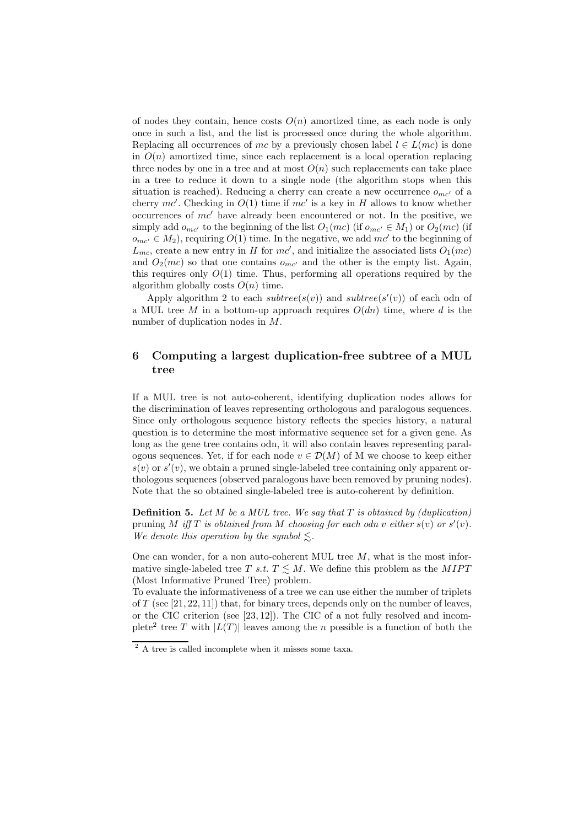of nodes they contain, hence costs  $O(n)$  amortized time, as each node is only once in such a list, and the list is processed once during the whole algorithm. Replacing all occurrences of mc by a previously chosen label  $l \in L(mc)$  is done in  $O(n)$  amortized time, since each replacement is a local operation replacing three nodes by one in a tree and at most  $O(n)$  such replacements can take place in a tree to reduce it down to a single node (the algorithm stops when this situation is reached). Reducing a cherry can create a new occurrence  $o_{mc'}$  of a cherry  $mc'$ . Checking in  $O(1)$  time if  $mc'$  is a key in H allows to know whether occurrences of  $mc'$  have already been encountered or not. In the positive, we simply add  $o_{mc'}$  to the beginning of the list  $O_1(mc)$  (if  $o_{mc'} \in M_1$ ) or  $O_2(mc)$  (if  $o_{mc'} \in M_2$ , requiring  $O(1)$  time. In the negative, we add  $mc'$  to the beginning of  $L_{mc}$ , create a new entry in H for  $mc'$ , and initialize the associated lists  $O_1$ (mc) and  $O_2(mc)$  so that one contains  $o_{mc'}$  and the other is the empty list. Again, this requires only  $O(1)$  time. Thus, performing all operations required by the algorithm globally costs  $O(n)$  time.

Apply algorithm 2 to each  $subtree(s(v))$  and  $subtree(s'(v))$  of each odn of a MUL tree M in a bottom-up approach requires  $O(dn)$  time, where d is the number of duplication nodes in M.

## 6 Computing a largest duplication-free subtree of a MUL tree

If a MUL tree is not auto-coherent, identifying duplication nodes allows for the discrimination of leaves representing orthologous and paralogous sequences. Since only orthologous sequence history reflects the species history, a natural question is to determine the most informative sequence set for a given gene. As long as the gene tree contains odn, it will also contain leaves representing paralogous sequences. Yet, if for each node  $v \in \mathcal{D}(M)$  of M we choose to keep either  $s(v)$  or  $s'(v)$ , we obtain a pruned single-labeled tree containing only apparent orthologous sequences (observed paralogous have been removed by pruning nodes). Note that the so obtained single-labeled tree is auto-coherent by definition.

**Definition 5.** Let  $M$  be a MUL tree. We say that  $T$  is obtained by (duplication) pruning M iff T is obtained from M choosing for each odn v either  $s(v)$  or  $s'(v)$ . We denote this operation by the symbol  $\leq$ .

One can wonder, for a non auto-coherent MUL tree  $M$ , what is the most informative single-labeled tree T s.t.  $T \leq M$ . We define this problem as the MIPT (Most Informative Pruned Tree) problem.

To evaluate the informativeness of a tree we can use either the number of triplets of  $T$  (see [21, 22, 11]) that, for binary trees, depends only on the number of leaves, or the CIC criterion (see [23, 12]). The CIC of a not fully resolved and incomplete<sup>2</sup> tree T with  $|L(T)|$  leaves among the n possible is a function of both the

<sup>2</sup> A tree is called incomplete when it misses some taxa.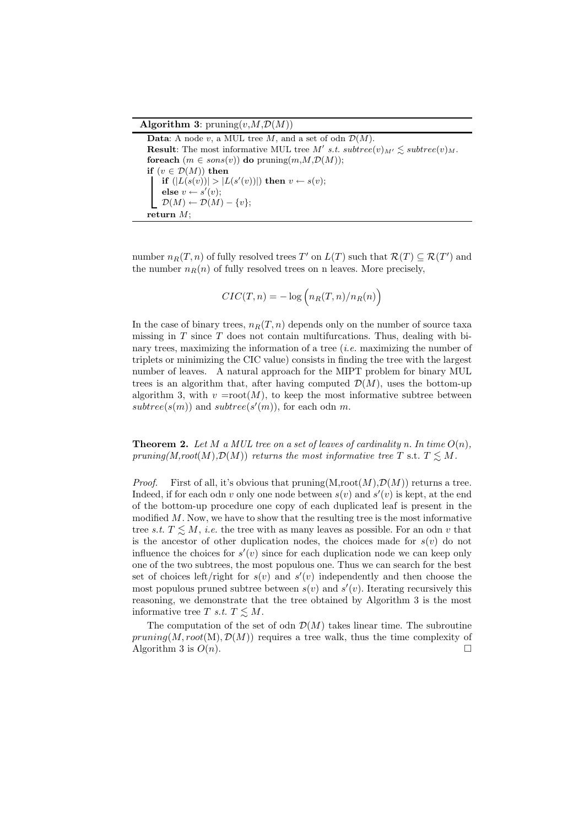#### Algorithm 3: pruning $(v, M, \mathcal{D}(M))$

**Data:** A node v, a MUL tree M, and a set of odn  $\mathcal{D}(M)$ . **Result:** The most informative MUL tree  $M'$  s.t. subtree(v)<sub>M'</sub>  $\leq$  subtree(v)<sub>M</sub>. foreach  $(m \in sons(v))$  do pruning $(m,M,\mathcal{D}(M))$ ; if  $(v \in \mathcal{D}(M))$  then if  $(|L(s(v))| > |L(s'(v))|$  then  $v \leftarrow s(v)$ ; else  $v \leftarrow s'(v);$  $\mathcal{D}(M) \leftarrow \mathcal{D}(M) - \{v\};$ return M;

number  $n_R(T, n)$  of fully resolved trees T' on  $L(T)$  such that  $\mathcal{R}(T) \subseteq \mathcal{R}(T')$  and the number  $n_R(n)$  of fully resolved trees on n leaves. More precisely,

$$
CIC(T, n) = -\log\left(n_R(T, n)/n_R(n)\right)
$$

In the case of binary trees,  $n_R(T, n)$  depends only on the number of source taxa missing in  $T$  since  $T$  does not contain multifurcations. Thus, dealing with binary trees, maximizing the information of a tree  $(i.e.$  maximizing the number of triplets or minimizing the CIC value) consists in finding the tree with the largest number of leaves. A natural approach for the MIPT problem for binary MUL trees is an algorithm that, after having computed  $\mathcal{D}(M)$ , uses the bottom-up algorithm 3, with  $v = \text{root}(M)$ , to keep the most informative subtree between  $subtree(s(m))$  and  $subtree(s'(m))$ , for each odn m.

**Theorem 2.** Let M a MUL tree on a set of leaves of cardinality n. In time  $O(n)$ , pruning(M,root(M), $\mathcal{D}(M)$ ) returns the most informative tree T s.t.  $T \leq M$ .

*Proof.* First of all, it's obvious that  $\text{pruning}(M,\text{root}(M),\mathcal{D}(M))$  returns a tree. Indeed, if for each odn v only one node between  $s(v)$  and  $s'(v)$  is kept, at the end of the bottom-up procedure one copy of each duplicated leaf is present in the modified  $M$ . Now, we have to show that the resulting tree is the most informative tree s.t.  $T \leq M$ , i.e. the tree with as many leaves as possible. For an odn v that is the ancestor of other duplication nodes, the choices made for  $s(v)$  do not influence the choices for  $s'(v)$  since for each duplication node we can keep only one of the two subtrees, the most populous one. Thus we can search for the best set of choices left/right for  $s(v)$  and  $s'(v)$  independently and then choose the most populous pruned subtree between  $s(v)$  and  $s'(v)$ . Iterating recursively this reasoning, we demonstrate that the tree obtained by Algorithm 3 is the most informative tree T s.t.  $T \leq M$ .

The computation of the set of odn  $\mathcal{D}(M)$  takes linear time. The subroutine  $pruning(M, root(M), \mathcal{D}(M))$  requires a tree walk, thus the time complexity of Algorithm 3 is  $O(n)$ .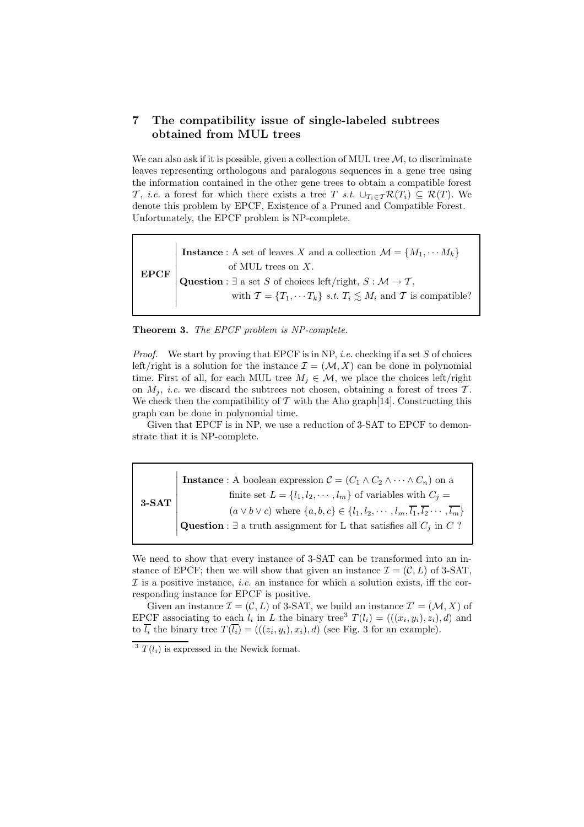## 7 The compatibility issue of single-labeled subtrees obtained from MUL trees

We can also ask if it is possible, given a collection of MUL tree  $\mathcal{M}$ , to discriminate leaves representing orthologous and paralogous sequences in a gene tree using the information contained in the other gene trees to obtain a compatible forest T, i.e. a forest for which there exists a tree T s.t.  $\cup_{T_i\in\mathcal{T}}\mathcal{R}(T_i)\subseteq\mathcal{R}(T)$ . We denote this problem by EPCF, Existence of a Pruned and Compatible Forest. Unfortunately, the EPCF problem is NP-complete.

EPCF  $\overline{\phantom{a}}$  $\overline{\phantom{a}}$  $\overline{\phantom{a}}$  $\overline{\phantom{a}}$  $\overline{\phantom{a}}$  $\overline{\phantom{a}}$  $\overline{\phantom{a}}$  $\overline{\phantom{a}}$  $\overline{\phantom{a}}$  $\overline{\phantom{a}}$  $\overline{\phantom{a}}$ **Instance**: A set of leaves X and a collection  $\mathcal{M} = \{M_1, \cdots, M_k\}$ of MUL trees on X. Question :  $\exists$  a set S of choices left/right,  $S : \mathcal{M} \to \mathcal{T}$ , with  $\mathcal{T} = \{T_1, \dotsm T_k\}$  s.t.  $T_i \leq M_i$  and  $\mathcal{T}$  is compatible?

Theorem 3. The EPCF problem is NP-complete.

*Proof.* We start by proving that EPCF is in NP, *i.e.* checking if a set S of choices left/right is a solution for the instance  $\mathcal{I} = (\mathcal{M}, X)$  can be done in polynomial time. First of all, for each MUL tree  $M_j \in \mathcal{M}$ , we place the choices left/right on  $M_i$ , *i.e.* we discard the subtrees not chosen, obtaining a forest of trees T. We check then the compatibility of  $\mathcal T$  with the Aho graph[14]. Constructing this graph can be done in polynomial time.

Given that EPCF is in NP, we use a reduction of 3-SAT to EPCF to demonstrate that it is NP-complete.

3-SAT  $\parallel$ I  $\overline{\phantom{a}}$  $\overline{\phantom{a}}$  $\overline{\phantom{a}}$  $\overline{\phantom{a}}$  $\overline{\phantom{a}}$  $\overline{\phantom{a}}$  $\overline{\phantom{a}}$  $\overline{\phantom{a}}$  $\mid$ **Instance**: A boolean expression  $C = (C_1 \wedge C_2 \wedge \cdots \wedge C_n)$  on a finite set  $L = \{l_1, l_2, \dots, l_m\}$  of variables with  $C_i$  =  $(a \vee b \vee c)$  where  $\{a, b, c\} \in \{l_1, l_2, \cdots, l_m, \overline{l_1}, \overline{l_2} \cdots, \overline{l_m}\}$ Question :  $\exists$  a truth assignment for L that satisfies all  $C_j$  in C ?

We need to show that every instance of 3-SAT can be transformed into an instance of EPCF; then we will show that given an instance  $\mathcal{I} = (\mathcal{C}, L)$  of 3-SAT,  $\mathcal I$  is a positive instance, *i.e.* an instance for which a solution exists, iff the corresponding instance for EPCF is positive.

Given an instance  $\mathcal{I} = (\mathcal{C}, L)$  of 3-SAT, we build an instance  $\mathcal{I}' = (\mathcal{M}, X)$  of EPCF associating to each  $l_i$  in L the binary tree<sup>3</sup>  $T(l_i) = (((x_i, y_i), z_i), d)$  and to  $l_i$  the binary tree  $T(l_i) = (((z_i, y_i), x_i), d)$  (see Fig. 3 for an example).

 $3 T(l_i)$  is expressed in the Newick format.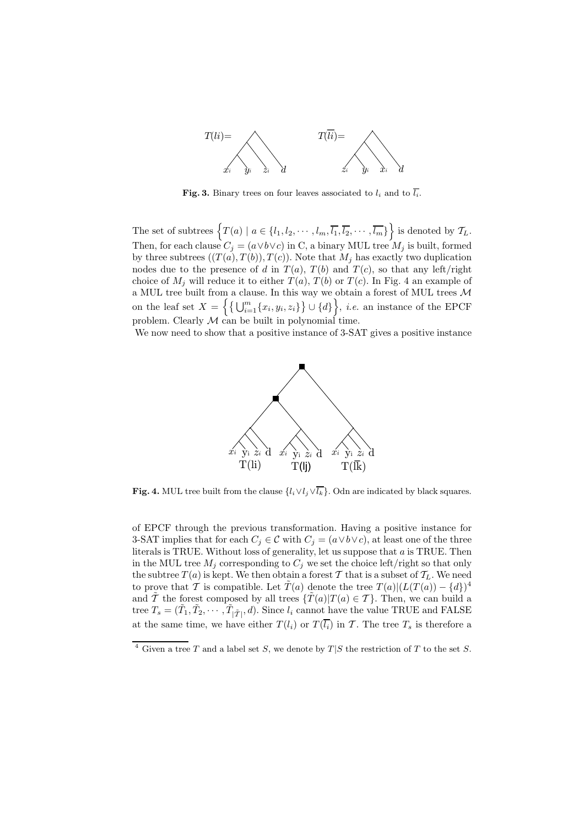

Fig. 3. Binary trees on four leaves associated to  $l_i$  and to  $\overline{l_i}$ .

The set of subtrees  $\left\{T(a) \mid a \in \{l_1, l_2, \cdots, l_m, \overline{l_1}, \overline{l_2}, \cdots, \overline{l_m}\}\right\}$  is denoted by  $\mathcal{T}_L$ . Then, for each clause  $C_j = (a \vee b \vee c)$  in C, a binary MUL tree  $M_j$  is built, formed by three subtrees  $((T(a), T(b)), T(c))$ . Note that  $M_i$  has exactly two duplication nodes due to the presence of d in  $T(a)$ ,  $T(b)$  and  $T(c)$ , so that any left/right choice of  $M_j$  will reduce it to either  $T(a)$ ,  $T(b)$  or  $T(c)$ . In Fig. 4 an example of a MUL tree built from a clause. In this way we obtain a forest of MUL trees  $\mathcal M$ on the leaf set  $X = \left\{ \left\{ \bigcup_{i=1}^m \{x_i, y_i, z_i\} \right\} \cup \{d\} \right\}$ , *i.e.* an instance of the EPCF problem. Clearly  $M$  can be built in polynomial time.

We now need to show that a positive instance of 3-SAT gives a positive instance



Fig. 4. MUL tree built from the clause  $\{l_i \vee l_j \vee \overline{l_k}\}\$ . Odn are indicated by black squares.

of EPCF through the previous transformation. Having a positive instance for 3-SAT implies that for each  $C_j \in \mathcal{C}$  with  $C_j = (a \vee b \vee c)$ , at least one of the three literals is TRUE. Without loss of generality, let us suppose that a is TRUE. Then in the MUL tree  $M_j$  corresponding to  $C_j$  we set the choice left/right so that only the subtree  $T(a)$  is kept. We then obtain a forest T that is a subset of  $\mathcal{T}_L$ . We need to prove that T is compatible. Let  $\tilde{T}(a)$  denote the tree  $T(a)|(L(T(a)) - \{d\})^4$ and  $\tilde{T}$  the forest composed by all trees  $\{\tilde{T}(a)|T(a) \in \mathcal{T}\}\)$ . Then, we can build a tree  $T_s = (\tilde{T}_1, \tilde{T}_2, \cdots, \tilde{T}_{|\tilde{T}|}, d)$ . Since  $l_i$  cannot have the value TRUE and FALSE at the same time, we have either  $T(l_i)$  or  $T(\overline{l_i})$  in T. The tree  $T_s$  is therefore a

<sup>&</sup>lt;sup>4</sup> Given a tree T and a label set S, we denote by  $T|S$  the restriction of T to the set S.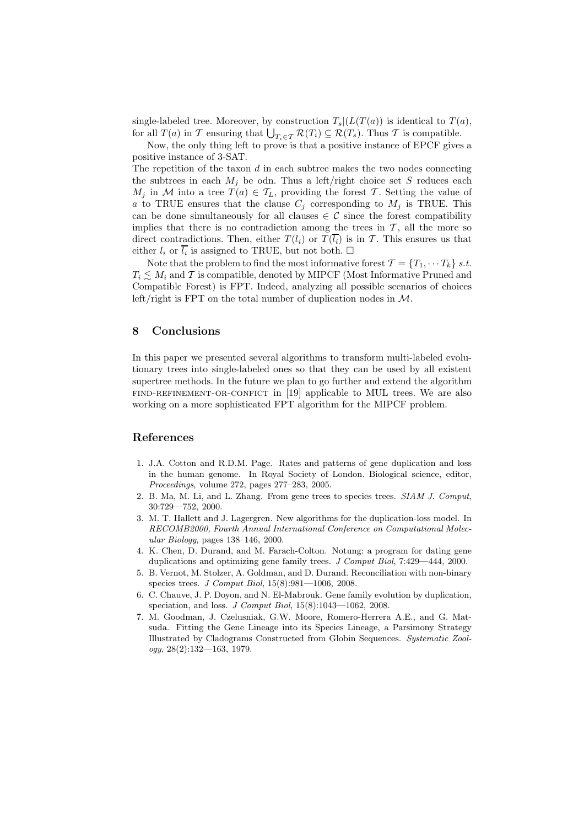single-labeled tree. Moreover, by construction  $T_s|(L(T(a))$  is identical to  $T(a)$ , for all  $T(a)$  in T ensuring that  $\bigcup_{T_i \in \mathcal{T}} \mathcal{R}(T_i) \subseteq \mathcal{R}(T_s)$ . Thus T is compatible.

Now, the only thing left to prove is that a positive instance of EPCF gives a positive instance of 3-SAT.

The repetition of the taxon  $d$  in each subtree makes the two nodes connecting the subtrees in each  $M_i$  be odn. Thus a left/right choice set S reduces each  $M_i$  in M into a tree  $T(a) \in \mathcal{T}_L$ , providing the forest T. Setting the value of a to TRUE ensures that the clause  $C_j$  corresponding to  $M_j$  is TRUE. This can be done simultaneously for all clauses  $\in \mathcal{C}$  since the forest compatibility implies that there is no contradiction among the trees in  $\mathcal{T}$ , all the more so direct contradictions. Then, either  $T(l_i)$  or  $T(\overline{l_i})$  is in T. This ensures us that either  $l_i$  or  $l_i$  is assigned to TRUE, but not both.  $\Box$ 

Note that the problem to find the most informative forest  $\mathcal{T} = \{T_1, \dots T_k\}$  s.t.  $T_i \lesssim M_i$  and T is compatible, denoted by MIPCF (Most Informative Pruned and Compatible Forest) is FPT. Indeed, analyzing all possible scenarios of choices left/right is FPT on the total number of duplication nodes in M.

## 8 Conclusions

In this paper we presented several algorithms to transform multi-labeled evolutionary trees into single-labeled ones so that they can be used by all existent supertree methods. In the future we plan to go further and extend the algorithm find-refinement-or-confict in [19] applicable to MUL trees. We are also working on a more sophisticated FPT algorithm for the MIPCF problem.

#### References

- 1. J.A. Cotton and R.D.M. Page. Rates and patterns of gene duplication and loss in the human genome. In Royal Society of London. Biological science, editor, Proceedings, volume 272, pages 277–283, 2005.
- 2. B. Ma, M. Li, and L. Zhang. From gene trees to species trees. SIAM J. Comput, 30:729—752, 2000.
- 3. M. T. Hallett and J. Lagergren. New algorithms for the duplication-loss model. In RECOMB2000, Fourth Annual International Conference on Computational Molecular Biology, pages 138–146, 2000.
- 4. K. Chen, D. Durand, and M. Farach-Colton. Notung: a program for dating gene duplications and optimizing gene family trees. J Comput Biol, 7:429—444, 2000.
- 5. B. Vernot, M. Stolzer, A. Goldman, and D. Durand. Reconciliation with non-binary species trees. J Comput Biol, 15(8):981—1006, 2008.
- 6. C. Chauve, J. P. Doyon, and N. El-Mabrouk. Gene family evolution by duplication, speciation, and loss. *J Comput Biol*, 15(8):1043-1062, 2008.
- 7. M. Goodman, J. Czelusniak, G.W. Moore, Romero-Herrera A.E., and G. Matsuda. Fitting the Gene Lineage into its Species Lineage, a Parsimony Strategy Illustrated by Cladograms Constructed from Globin Sequences. Systematic Zoology, 28(2):132—163, 1979.